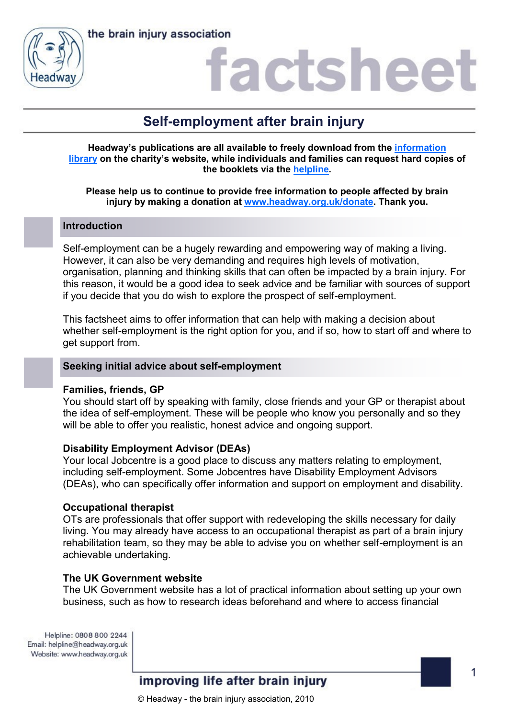

# factshee

# **Self-employment after brain injury**

**Headway's publications are all available to freely download from the [information](https://www.headway.org.uk/about-brain-injury/individuals/information-library/)  [library](https://www.headway.org.uk/about-brain-injury/individuals/information-library/) on the charity's website, while individuals and families can request hard copies of the booklets via the [helpline.](https://www.headway.org.uk/supporting-you/helpline/)**

# **Please help us to continue to provide free information to people affected by brain injury by making a donation at [www.headway.org.uk/donate.](http://www.headway.org.uk/donate) Thank you.**

# **Introduction**

Self-employment can be a hugely rewarding and empowering way of making a living. However, it can also be very demanding and requires high levels of motivation, organisation, planning and thinking skills that can often be impacted by a brain injury. For this reason, it would be a good idea to seek advice and be familiar with sources of support if you decide that you do wish to explore the prospect of self-employment.

This factsheet aims to offer information that can help with making a decision about whether self-employment is the right option for you, and if so, how to start off and where to get support from.

# **Seeking initial advice about self-employment**

# **Families, friends, GP**

You should start off by speaking with family, close friends and your GP or therapist about the idea of self-employment. These will be people who know you personally and so they will be able to offer you realistic, honest advice and ongoing support.

# **Disability Employment Advisor (DEAs)**

Your local Jobcentre is a good place to discuss any matters relating to employment, including self-employment. Some Jobcentres have Disability Employment Advisors (DEAs), who can specifically offer information and support on employment and disability.

# **Occupational therapist**

OTs are professionals that offer support with redeveloping the skills necessary for daily living. You may already have access to an occupational therapist as part of a brain injury rehabilitation team, so they may be able to advise you on whether self-employment is an achievable undertaking.

# **The UK Government website**

The UK Government website has a lot of practical information about setting up your own business, such as how to research ideas beforehand and where to access financial

Helpline: 0808 800 2244 Email: helpline@headway.org.uk Website: www.headway.org.uk

improving life after brain injury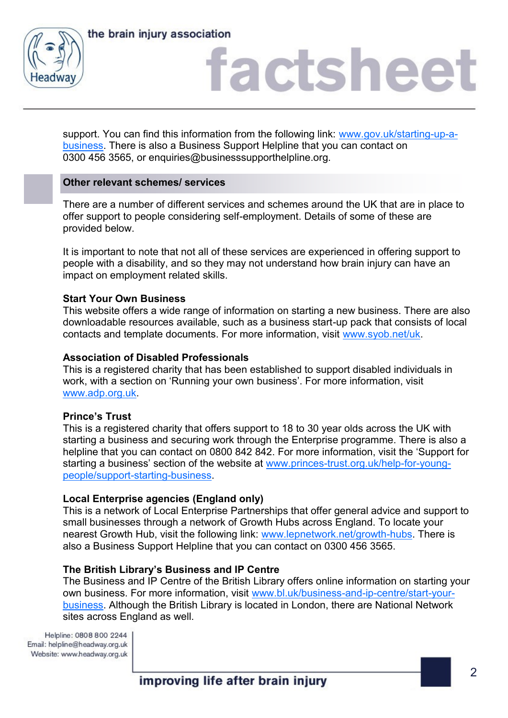



# factsheet

support. You can find this information from the following link: [www.gov.uk/starting-up-a](https://www.gov.uk/starting-up-a-business)[business.](https://www.gov.uk/starting-up-a-business) There is also a Business Support Helpline that you can contact on 0300 456 3565, or enquiries@businesssupporthelpline.org.

# **Other relevant schemes/ services**

There are a number of different services and schemes around the UK that are in place to offer support to people considering self-employment. Details of some of these are provided below.

It is important to note that not all of these services are experienced in offering support to people with a disability, and so they may not understand how brain injury can have an impact on employment related skills.

#### **Start Your Own Business**

This website offers a wide range of information on starting a new business. There are also downloadable resources available, such as a business start-up pack that consists of local contacts and template documents. For more information, visit [www.syob.net/uk.](http://www.syob.net/uk)

#### **Association of Disabled Professionals**

This is a registered charity that has been established to support disabled individuals in work, with a section on 'Running your own business'. For more information, visit [www.adp.org.uk.](http://www.adp.org.uk)

#### **Prince's Trust**

This is a registered charity that offers support to 18 to 30 year olds across the UK with starting a business and securing work through the Enterprise programme. There is also a helpline that you can contact on 0800 842 842. For more information, visit the 'Support for starting a business' section of the website at [www.princes-trust.org.uk/help-for-young](https://www.princes-trust.org.uk/help-for-young-people/support-starting-business)[people/support-starting-business.](https://www.princes-trust.org.uk/help-for-young-people/support-starting-business)

# **Local Enterprise agencies (England only)**

This is a network of Local Enterprise Partnerships that offer general advice and support to small businesses through a network of Growth Hubs across England. To locate your nearest Growth Hub, visit the following link: [www.lepnetwork.net/growth-hubs.](http://www.lepnetwork.net/growth-hubs/) There is also a Business Support Helpline that you can contact on 0300 456 3565.

#### **The British Library's Business and IP Centre**

The Business and IP Centre of the British Library offers online information on starting your own business. For more information, visit [www.bl.uk/business-and-ip-centre/start-your](http://www.bl.uk/business-and-ip-centre/start-your-business)[business.](http://www.bl.uk/business-and-ip-centre/start-your-business) Although the British Library is located in London, there are National Network sites across England as well.

Helpline: 0808 800 2244 Email: helpline@headway.org.uk Website: www.headway.org.uk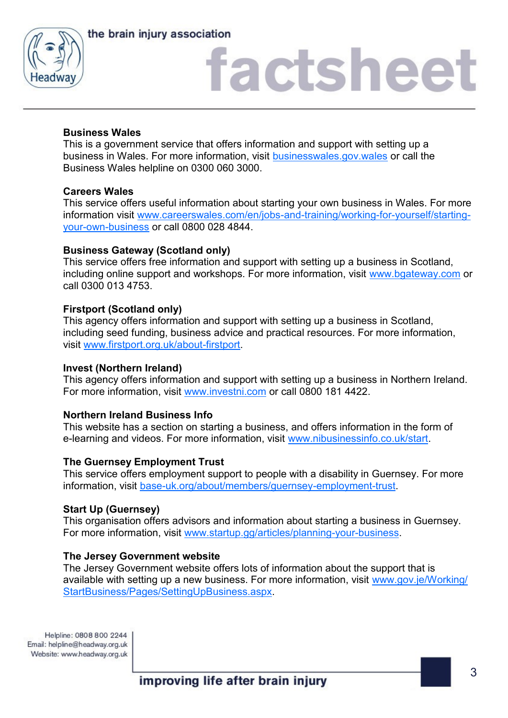



# factsheet

# **Business Wales**

This is a government service that offers information and support with setting up a business in Wales. For more information, visit [businesswales.gov.wales](businesswales.gov.wales/) or call the Business Wales helpline on 0300 060 3000.

# **Careers Wales**

This service offers useful information about starting your own business in Wales. For more information visit [www.careerswales.com/en/jobs-and-training/working-for-yourself/starting](http://www.careerswales.com/en/jobs-and-training/working-for-yourself/starting-your-own-business/)[your-own-business](http://www.careerswales.com/en/jobs-and-training/working-for-yourself/starting-your-own-business/) or call 0800 028 4844.

# **Business Gateway (Scotland only)**

This service offers free information and support with setting up a business in Scotland, including online support and workshops. For more information, visit [www.bgateway.com](http://www.bgateway.com/) or call 0300 013 4753.

# **Firstport (Scotland only)**

This agency offers information and support with setting up a business in Scotland, including seed funding, business advice and practical resources. For more information, visit [www.firstport.org.uk/about-firstport.](http://www.firstport.org.uk/about-firstport) 

# **Invest (Northern Ireland)**

This agency offers information and support with setting up a business in Northern Ireland. For more information, visit [www.investni.com](http://www.investni.com/C:/Users/publications/Documents/Berthold%20Akzidenz%20Grotesk%20BE%20Regular.zip) or call 0800 181 4422.

# **Northern Ireland Business Info**

This website has a section on starting a business, and offers information in the form of e-learning and videos. For more information, visit [www.nibusinessinfo.co.uk/start.](https://www.nibusinessinfo.co.uk/start)

# **The Guernsey Employment Trust**

This service offers employment support to people with a disability in Guernsey. For more information, visit [base-uk.org/about/members/guernsey-employment-trust.](http://base-uk.org/about/members/guernsey-employment-trust)

#### **Start Up (Guernsey)**

This organisation offers advisors and information about starting a business in Guernsey. For more information, visit [www.startup.gg/articles/planning-your-business.](http://www.startup.gg/articles/planning-your-business)

#### **The Jersey Government website**

The Jersey Government website offers lots of information about the support that is available with setting up a new business. For more information, visit [www.gov.je/Working/](http://www.gov.je/Working/StartBusiness/Pages/SettingUpBusiness.aspx) [StartBusiness/Pages/SettingUpBusiness.aspx.](http://www.gov.je/Working/StartBusiness/Pages/SettingUpBusiness.aspx)